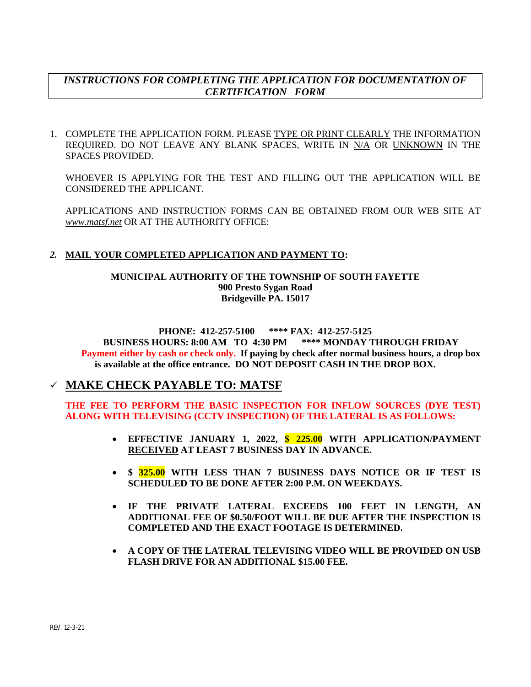# *INSTRUCTIONS FOR COMPLETING THE APPLICATION FOR DOCUMENTATION OF CERTIFICATION FORM*

1. COMPLETE THE APPLICATION FORM. PLEASE TYPE OR PRINT CLEARLY THE INFORMATION REQUIRED. DO NOT LEAVE ANY BLANK SPACES, WRITE IN N/A OR UNKNOWN IN THE SPACES PROVIDED.

WHOEVER IS APPLYING FOR THE TEST AND FILLING OUT THE APPLICATION WILL BE CONSIDERED THE APPLICANT.

APPLICATIONS AND INSTRUCTION FORMS CAN BE OBTAINED FROM OUR WEB SITE AT *www.matsf.net* OR AT THE AUTHORITY OFFICE:

## *2.* **MAIL YOUR COMPLETED APPLICATION AND PAYMENT TO:**

#### **MUNICIPAL AUTHORITY OF THE TOWNSHIP OF SOUTH FAYETTE 900 Presto Sygan Road Bridgeville PA. 15017**

#### **PHONE: 412-257-5100 \*\*\*\* FAX: 412-257-5125**

**BUSINESS HOURS: 8:00 AM TO 4:30 PM \*\*\*\* MONDAY THROUGH FRIDAY Payment either by cash or check only. If paying by check after normal business hours, a drop box is available at the office entrance. DO NOT DEPOSIT CASH IN THE DROP BOX.**

# **MAKE CHECK PAYABLE TO: MATSF**

## **THE FEE TO PERFORM THE BASIC INSPECTION FOR INFLOW SOURCES (DYE TEST) ALONG WITH TELEVISING (CCTV INSPECTION) OF THE LATERAL IS AS FOLLOWS:**

- **EFFECTIVE JANUARY 1, 2022, \$ 225.00 WITH APPLICATION/PAYMENT RECEIVED AT LEAST 7 BUSINESS DAY IN ADVANCE.**
- **\$ 325.00 WITH LESS THAN 7 BUSINESS DAYS NOTICE OR IF TEST IS SCHEDULED TO BE DONE AFTER 2:00 P.M. ON WEEKDAYS.**
- **IF THE PRIVATE LATERAL EXCEEDS 100 FEET IN LENGTH, AN ADDITIONAL FEE OF \$0.50/FOOT WILL BE DUE AFTER THE INSPECTION IS COMPLETED AND THE EXACT FOOTAGE IS DETERMINED.**
- **A COPY OF THE LATERAL TELEVISING VIDEO WILL BE PROVIDED ON USB FLASH DRIVE FOR AN ADDITIONAL \$15.00 FEE.**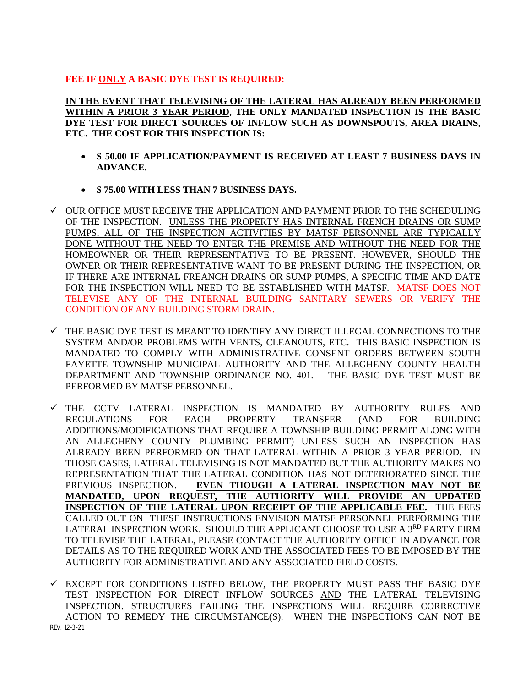## **FEE IF ONLY A BASIC DYE TEST IS REQUIRED:**

**IN THE EVENT THAT TELEVISING OF THE LATERAL HAS ALREADY BEEN PERFORMED WITHIN A PRIOR 3 YEAR PERIOD, THE ONLY MANDATED INSPECTION IS THE BASIC DYE TEST FOR DIRECT SOURCES OF INFLOW SUCH AS DOWNSPOUTS, AREA DRAINS, ETC. THE COST FOR THIS INSPECTION IS:**

- **\$ 50.00 IF APPLICATION/PAYMENT IS RECEIVED AT LEAST 7 BUSINESS DAYS IN ADVANCE.**
- **\$ 75.00 WITH LESS THAN 7 BUSINESS DAYS.**
- $\checkmark$  OUR OFFICE MUST RECEIVE THE APPLICATION AND PAYMENT PRIOR TO THE SCHEDULING OF THE INSPECTION. UNLESS THE PROPERTY HAS INTERNAL FRENCH DRAINS OR SUMP PUMPS, ALL OF THE INSPECTION ACTIVITIES BY MATSF PERSONNEL ARE TYPICALLY DONE WITHOUT THE NEED TO ENTER THE PREMISE AND WITHOUT THE NEED FOR THE HOMEOWNER OR THEIR REPRESENTATIVE TO BE PRESENT. HOWEVER, SHOULD THE OWNER OR THEIR REPRESENTATIVE WANT TO BE PRESENT DURING THE INSPECTION, OR IF THERE ARE INTERNAL FREANCH DRAINS OR SUMP PUMPS, A SPECIFIC TIME AND DATE FOR THE INSPECTION WILL NEED TO BE ESTABLISHED WITH MATSF. MATSF DOES NOT TELEVISE ANY OF THE INTERNAL BUILDING SANITARY SEWERS OR VERIFY THE CONDITION OF ANY BUILDING STORM DRAIN.
- $\checkmark$  THE BASIC DYE TEST IS MEANT TO IDENTIFY ANY DIRECT ILLEGAL CONNECTIONS TO THE SYSTEM AND/OR PROBLEMS WITH VENTS, CLEANOUTS, ETC. THIS BASIC INSPECTION IS MANDATED TO COMPLY WITH ADMINISTRATIVE CONSENT ORDERS BETWEEN SOUTH FAYETTE TOWNSHIP MUNICIPAL AUTHORITY AND THE ALLEGHENY COUNTY HEALTH DEPARTMENT AND TOWNSHIP ORDINANCE NO. 401. THE BASIC DYE TEST MUST BE PERFORMED BY MATSF PERSONNEL.
- $\checkmark$  THE CCTV LATERAL INSPECTION IS MANDATED BY AUTHORITY RULES AND REGULATIONS FOR EACH PROPERTY TRANSFER (AND FOR BUILDING ADDITIONS/MODIFICATIONS THAT REQUIRE A TOWNSHIP BUILDING PERMIT ALONG WITH AN ALLEGHENY COUNTY PLUMBING PERMIT) UNLESS SUCH AN INSPECTION HAS ALREADY BEEN PERFORMED ON THAT LATERAL WITHIN A PRIOR 3 YEAR PERIOD. IN THOSE CASES, LATERAL TELEVISING IS NOT MANDATED BUT THE AUTHORITY MAKES NO REPRESENTATION THAT THE LATERAL CONDITION HAS NOT DETERIORATED SINCE THE PREVIOUS INSPECTION. **EVEN THOUGH A LATERAL INSPECTION MAY NOT BE MANDATED, UPON REQUEST, THE AUTHORITY WILL PROVIDE AN UPDATED INSPECTION OF THE LATERAL UPON RECEIPT OF THE APPLICABLE FEE.** THE FEES CALLED OUT ON THESE INSTRUCTIONS ENVISION MATSF PERSONNEL PERFORMING THE LATERAL INSPECTION WORK. SHOULD THE APPLICANT CHOOSE TO USE A 3RD PARTY FIRM TO TELEVISE THE LATERAL, PLEASE CONTACT THE AUTHORITY OFFICE IN ADVANCE FOR DETAILS AS TO THE REQUIRED WORK AND THE ASSOCIATED FEES TO BE IMPOSED BY THE AUTHORITY FOR ADMINISTRATIVE AND ANY ASSOCIATED FIELD COSTS.
- REV. 12-3-21  $\checkmark$  EXCEPT FOR CONDITIONS LISTED BELOW, THE PROPERTY MUST PASS THE BASIC DYE TEST INSPECTION FOR DIRECT INFLOW SOURCES AND THE LATERAL TELEVISING INSPECTION. STRUCTURES FAILING THE INSPECTIONS WILL REQUIRE CORRECTIVE ACTION TO REMEDY THE CIRCUMSTANCE(S). WHEN THE INSPECTIONS CAN NOT BE